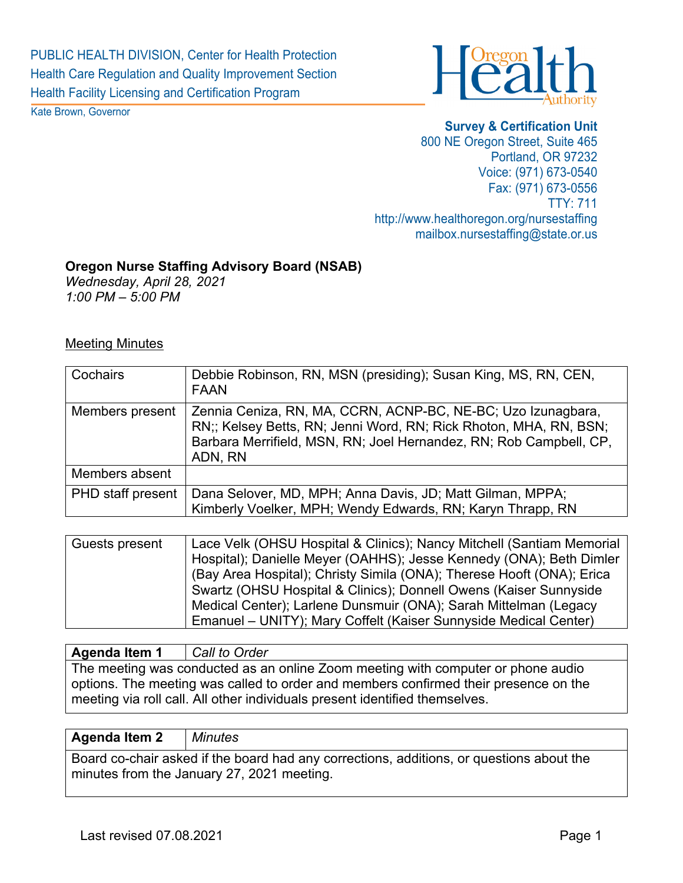

Kate Brown, Governor

**Survey & Certification Unit**  800 NE Oregon Street, Suite 465 Portland, OR 97232 Voice: (971) 673-0540 Fax: (971) 673-0556 TTY: 711 http://www.healthoregon.org/nursestaffing mailbox.nursestaffing@state.or.us

### **Oregon Nurse Staffing Advisory Board (NSAB)**

*Wednesday, April 28, 2021 1:00 PM – 5:00 PM* 

#### Meeting Minutes

| Cochairs                 | Debbie Robinson, RN, MSN (presiding); Susan King, MS, RN, CEN,<br><b>FAAN</b>                                                                                                                                      |  |  |
|--------------------------|--------------------------------------------------------------------------------------------------------------------------------------------------------------------------------------------------------------------|--|--|
| Members present          | Zennia Ceniza, RN, MA, CCRN, ACNP-BC, NE-BC; Uzo Izunagbara,<br>RN;; Kelsey Betts, RN; Jenni Word, RN; Rick Rhoton, MHA, RN, BSN;<br>Barbara Merrifield, MSN, RN; Joel Hernandez, RN; Rob Campbell, CP,<br>ADN, RN |  |  |
| Members absent           |                                                                                                                                                                                                                    |  |  |
| <b>PHD</b> staff present | Dana Selover, MD, MPH; Anna Davis, JD; Matt Gilman, MPPA;<br>Kimberly Voelker, MPH; Wendy Edwards, RN; Karyn Thrapp, RN                                                                                            |  |  |

| Guests present | Lace Velk (OHSU Hospital & Clinics); Nancy Mitchell (Santiam Memorial |
|----------------|-----------------------------------------------------------------------|
|                | Hospital); Danielle Meyer (OAHHS); Jesse Kennedy (ONA); Beth Dimler   |
|                | (Bay Area Hospital); Christy Simila (ONA); Therese Hooft (ONA); Erica |
|                | Swartz (OHSU Hospital & Clinics); Donnell Owens (Kaiser Sunnyside     |
|                | Medical Center); Larlene Dunsmuir (ONA); Sarah Mittelman (Legacy      |
|                | Emanuel – UNITY); Mary Coffelt (Kaiser Sunnyside Medical Center)      |

## **Agenda Item 1** *Call to Order* The meeting was conducted as an online Zoom meeting with computer or phone audio options. The meeting was called to order and members confirmed their presence on the meeting via roll call. All other individuals present identified themselves.

#### **Agenda Item 2** *Minutes*

Board co-chair asked if the board had any corrections, additions, or questions about the minutes from the January 27, 2021 meeting.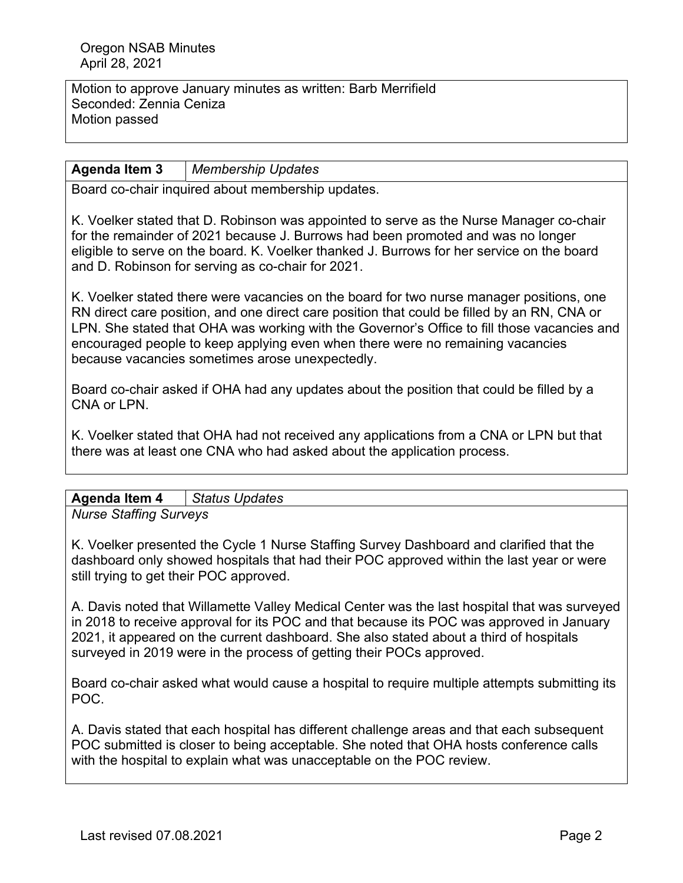Motion to approve January minutes as written: Barb Merrifield Seconded: Zennia Ceniza Motion passed

## **Agenda Item 3** *Membership Updates*

Board co-chair inquired about membership updates.

K. Voelker stated that D. Robinson was appointed to serve as the Nurse Manager co-chair for the remainder of 2021 because J. Burrows had been promoted and was no longer eligible to serve on the board. K. Voelker thanked J. Burrows for her service on the board and D. Robinson for serving as co-chair for 2021.

K. Voelker stated there were vacancies on the board for two nurse manager positions, one RN direct care position, and one direct care position that could be filled by an RN, CNA or LPN. She stated that OHA was working with the Governor's Office to fill those vacancies and encouraged people to keep applying even when there were no remaining vacancies because vacancies sometimes arose unexpectedly.

Board co-chair asked if OHA had any updates about the position that could be filled by a CNA or LPN.

K. Voelker stated that OHA had not received any applications from a CNA or LPN but that there was at least one CNA who had asked about the application process.

# **Agenda Item 4** *Status Updates*

*Nurse Staffing Surveys*

K. Voelker presented the Cycle 1 Nurse Staffing Survey Dashboard and clarified that the dashboard only showed hospitals that had their POC approved within the last year or were still trying to get their POC approved.

A. Davis noted that Willamette Valley Medical Center was the last hospital that was surveyed in 2018 to receive approval for its POC and that because its POC was approved in January 2021, it appeared on the current dashboard. She also stated about a third of hospitals surveyed in 2019 were in the process of getting their POCs approved.

Board co-chair asked what would cause a hospital to require multiple attempts submitting its POC.

A. Davis stated that each hospital has different challenge areas and that each subsequent POC submitted is closer to being acceptable. She noted that OHA hosts conference calls with the hospital to explain what was unacceptable on the POC review.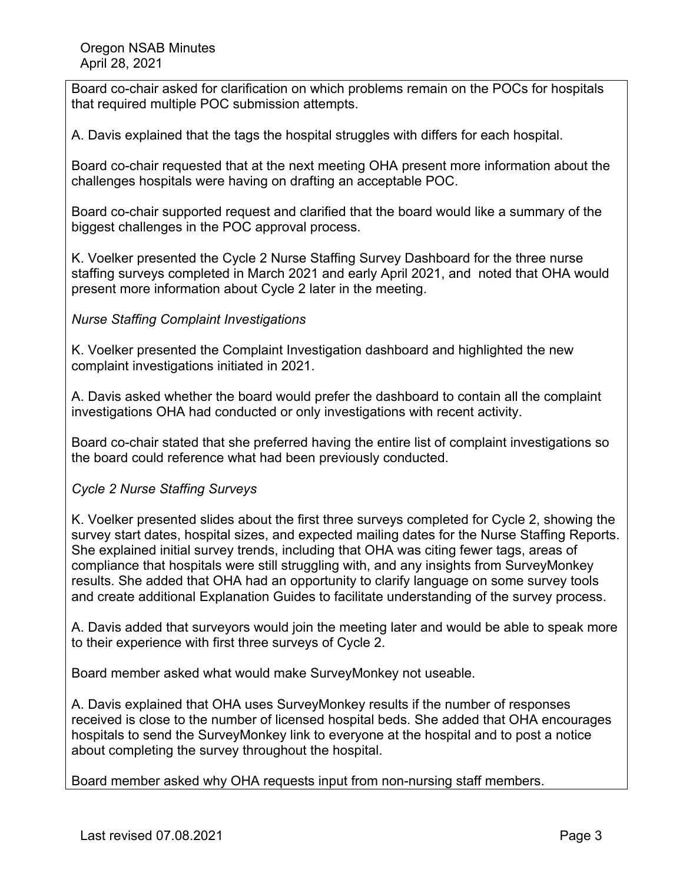Board co-chair asked for clarification on which problems remain on the POCs for hospitals that required multiple POC submission attempts.

A. Davis explained that the tags the hospital struggles with differs for each hospital.

Board co-chair requested that at the next meeting OHA present more information about the challenges hospitals were having on drafting an acceptable POC.

Board co-chair supported request and clarified that the board would like a summary of the biggest challenges in the POC approval process.

K. Voelker presented the Cycle 2 Nurse Staffing Survey Dashboard for the three nurse staffing surveys completed in March 2021 and early April 2021, and noted that OHA would present more information about Cycle 2 later in the meeting.

## *Nurse Staffing Complaint Investigations*

K. Voelker presented the Complaint Investigation dashboard and highlighted the new complaint investigations initiated in 2021.

A. Davis asked whether the board would prefer the dashboard to contain all the complaint investigations OHA had conducted or only investigations with recent activity.

Board co-chair stated that she preferred having the entire list of complaint investigations so the board could reference what had been previously conducted.

### *Cycle 2 Nurse Staffing Surveys*

K. Voelker presented slides about the first three surveys completed for Cycle 2, showing the survey start dates, hospital sizes, and expected mailing dates for the Nurse Staffing Reports. She explained initial survey trends, including that OHA was citing fewer tags, areas of compliance that hospitals were still struggling with, and any insights from SurveyMonkey results. She added that OHA had an opportunity to clarify language on some survey tools and create additional Explanation Guides to facilitate understanding of the survey process.

A. Davis added that surveyors would join the meeting later and would be able to speak more to their experience with first three surveys of Cycle 2.

Board member asked what would make SurveyMonkey not useable.

A. Davis explained that OHA uses SurveyMonkey results if the number of responses received is close to the number of licensed hospital beds. She added that OHA encourages hospitals to send the SurveyMonkey link to everyone at the hospital and to post a notice about completing the survey throughout the hospital.

Board member asked why OHA requests input from non-nursing staff members.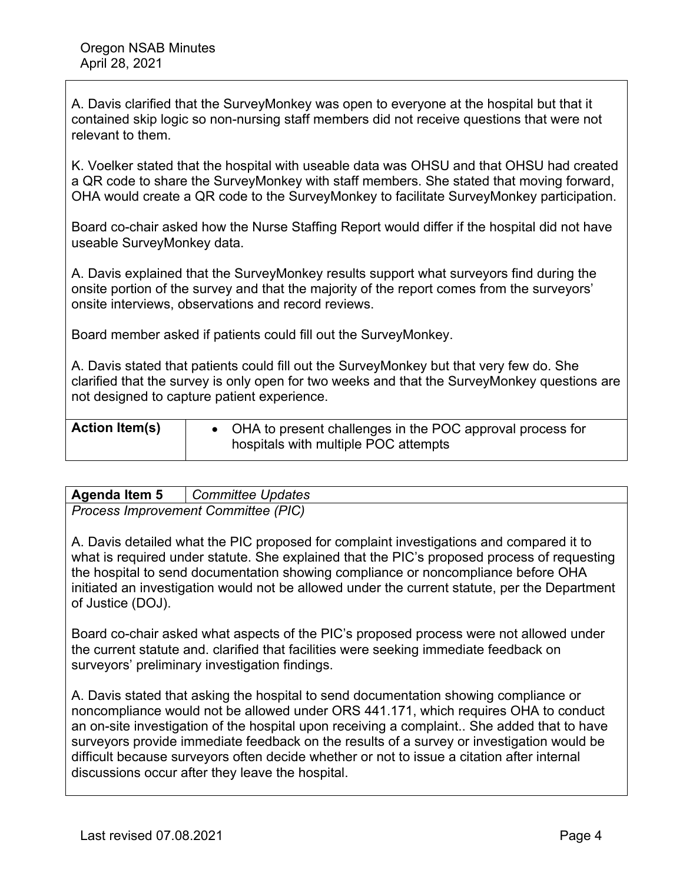A. Davis clarified that the SurveyMonkey was open to everyone at the hospital but that it contained skip logic so non-nursing staff members did not receive questions that were not relevant to them.

K. Voelker stated that the hospital with useable data was OHSU and that OHSU had created a QR code to share the SurveyMonkey with staff members. She stated that moving forward, OHA would create a QR code to the SurveyMonkey to facilitate SurveyMonkey participation.

Board co-chair asked how the Nurse Staffing Report would differ if the hospital did not have useable SurveyMonkey data.

A. Davis explained that the SurveyMonkey results support what surveyors find during the onsite portion of the survey and that the majority of the report comes from the surveyors' onsite interviews, observations and record reviews.

Board member asked if patients could fill out the SurveyMonkey.

A. Davis stated that patients could fill out the SurveyMonkey but that very few do. She clarified that the survey is only open for two weeks and that the SurveyMonkey questions are not designed to capture patient experience.

| <b>Action Item(s)</b> | • OHA to present challenges in the POC approval process for<br>hospitals with multiple POC attempts |  |
|-----------------------|-----------------------------------------------------------------------------------------------------|--|
|                       |                                                                                                     |  |

| <b>Agenda Item 5</b>                 | Committee Updates |  |
|--------------------------------------|-------------------|--|
| $D_{\text{KORA}}$ $\mu_{\text{MMR}}$ |                   |  |

*Process Improvement Committee (PIC)*

A. Davis detailed what the PIC proposed for complaint investigations and compared it to what is required under statute. She explained that the PIC's proposed process of requesting the hospital to send documentation showing compliance or noncompliance before OHA initiated an investigation would not be allowed under the current statute, per the Department of Justice (DOJ).

Board co-chair asked what aspects of the PIC's proposed process were not allowed under the current statute and. clarified that facilities were seeking immediate feedback on surveyors' preliminary investigation findings.

A. Davis stated that asking the hospital to send documentation showing compliance or noncompliance would not be allowed under ORS 441.171, which requires OHA to conduct an on-site investigation of the hospital upon receiving a complaint.. She added that to have surveyors provide immediate feedback on the results of a survey or investigation would be difficult because surveyors often decide whether or not to issue a citation after internal discussions occur after they leave the hospital.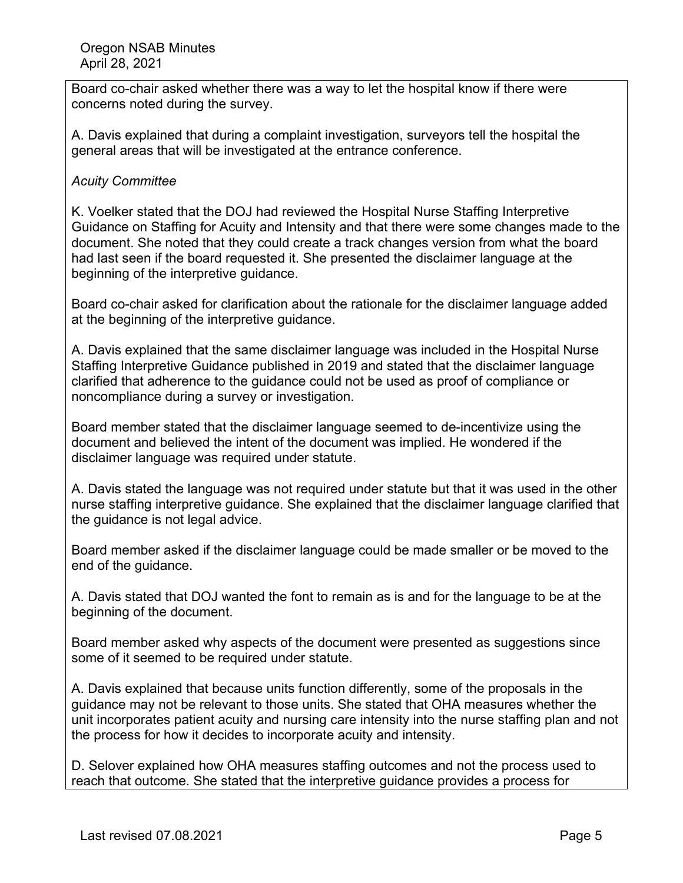Board co-chair asked whether there was a way to let the hospital know if there were concerns noted during the survey.

A. Davis explained that during a complaint investigation, surveyors tell the hospital the general areas that will be investigated at the entrance conference.

## *Acuity Committee*

K. Voelker stated that the DOJ had reviewed the Hospital Nurse Staffing Interpretive Guidance on Staffing for Acuity and Intensity and that there were some changes made to the document. She noted that they could create a track changes version from what the board had last seen if the board requested it. She presented the disclaimer language at the beginning of the interpretive guidance.

Board co-chair asked for clarification about the rationale for the disclaimer language added at the beginning of the interpretive guidance.

A. Davis explained that the same disclaimer language was included in the Hospital Nurse Staffing Interpretive Guidance published in 2019 and stated that the disclaimer language clarified that adherence to the guidance could not be used as proof of compliance or noncompliance during a survey or investigation.

Board member stated that the disclaimer language seemed to de-incentivize using the document and believed the intent of the document was implied. He wondered if the disclaimer language was required under statute.

A. Davis stated the language was not required under statute but that it was used in the other nurse staffing interpretive guidance. She explained that the disclaimer language clarified that the guidance is not legal advice.

Board member asked if the disclaimer language could be made smaller or be moved to the end of the guidance.

A. Davis stated that DOJ wanted the font to remain as is and for the language to be at the beginning of the document.

Board member asked why aspects of the document were presented as suggestions since some of it seemed to be required under statute.

A. Davis explained that because units function differently, some of the proposals in the guidance may not be relevant to those units. She stated that OHA measures whether the unit incorporates patient acuity and nursing care intensity into the nurse staffing plan and not the process for how it decides to incorporate acuity and intensity.

D. Selover explained how OHA measures staffing outcomes and not the process used to reach that outcome. She stated that the interpretive guidance provides a process for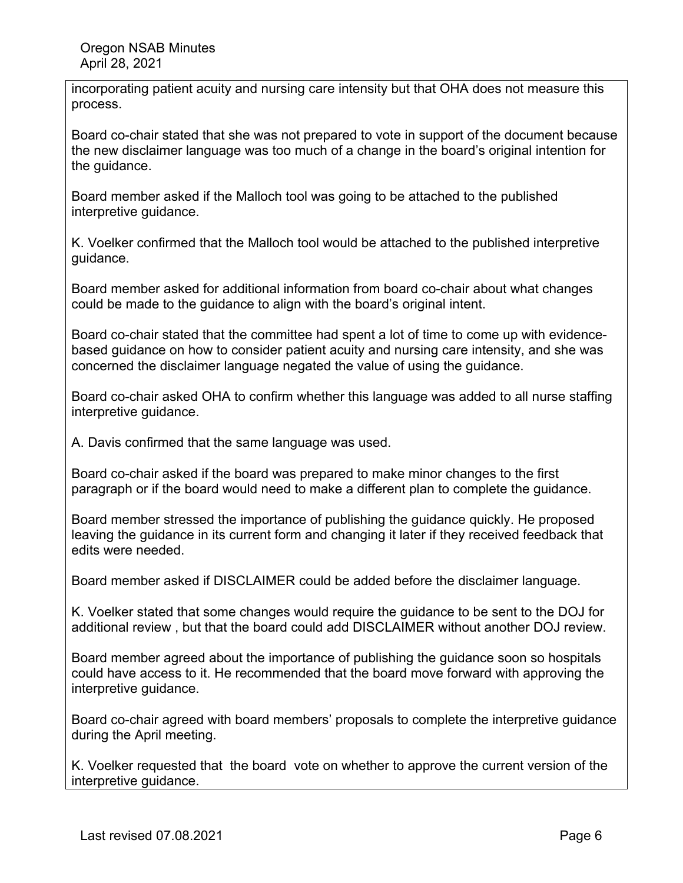incorporating patient acuity and nursing care intensity but that OHA does not measure this process.

Board co-chair stated that she was not prepared to vote in support of the document because the new disclaimer language was too much of a change in the board's original intention for the guidance.

Board member asked if the Malloch tool was going to be attached to the published interpretive guidance.

K. Voelker confirmed that the Malloch tool would be attached to the published interpretive guidance.

Board member asked for additional information from board co-chair about what changes could be made to the guidance to align with the board's original intent.

Board co-chair stated that the committee had spent a lot of time to come up with evidencebased guidance on how to consider patient acuity and nursing care intensity, and she was concerned the disclaimer language negated the value of using the guidance.

Board co-chair asked OHA to confirm whether this language was added to all nurse staffing interpretive guidance.

A. Davis confirmed that the same language was used.

Board co-chair asked if the board was prepared to make minor changes to the first paragraph or if the board would need to make a different plan to complete the guidance.

Board member stressed the importance of publishing the guidance quickly. He proposed leaving the guidance in its current form and changing it later if they received feedback that edits were needed.

Board member asked if DISCLAIMER could be added before the disclaimer language.

K. Voelker stated that some changes would require the guidance to be sent to the DOJ for additional review , but that the board could add DISCLAIMER without another DOJ review.

Board member agreed about the importance of publishing the guidance soon so hospitals could have access to it. He recommended that the board move forward with approving the interpretive guidance.

Board co-chair agreed with board members' proposals to complete the interpretive guidance during the April meeting.

K. Voelker requested that the board vote on whether to approve the current version of the interpretive guidance.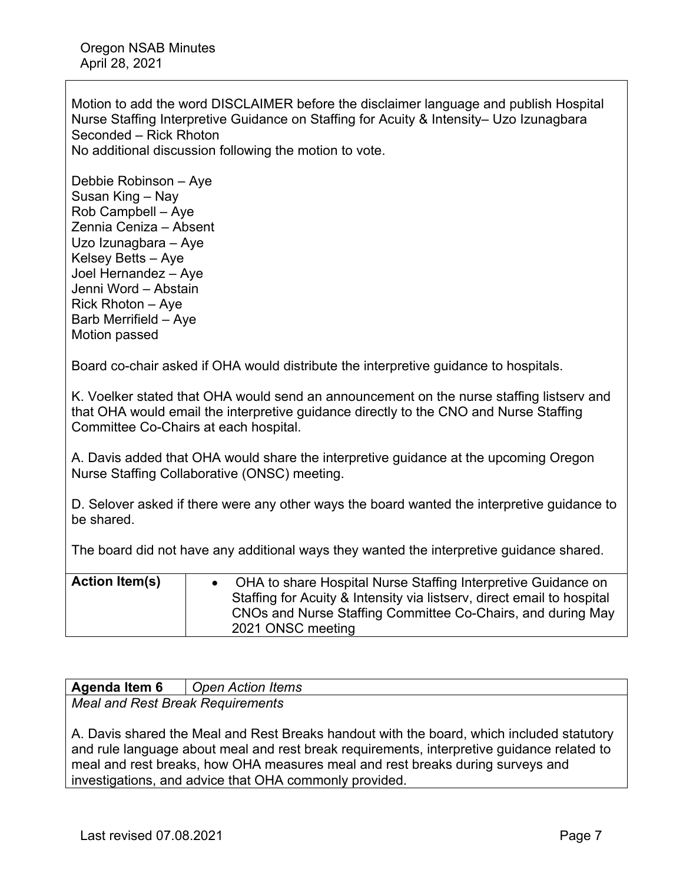Oregon NSAB Minutes April 28, 2021

Motion to add the word DISCLAIMER before the disclaimer language and publish Hospital Nurse Staffing Interpretive Guidance on Staffing for Acuity & Intensity– Uzo Izunagbara Seconded – Rick Rhoton

No additional discussion following the motion to vote.

Debbie Robinson – Aye Susan King – Nay Rob Campbell – Aye Zennia Ceniza – Absent Uzo Izunagbara – Aye Kelsey Betts – Aye Joel Hernandez – Aye Jenni Word – Abstain Rick Rhoton – Aye Barb Merrifield – Aye Motion passed

Board co-chair asked if OHA would distribute the interpretive guidance to hospitals.

K. Voelker stated that OHA would send an announcement on the nurse staffing listserv and that OHA would email the interpretive guidance directly to the CNO and Nurse Staffing Committee Co-Chairs at each hospital.

A. Davis added that OHA would share the interpretive guidance at the upcoming Oregon Nurse Staffing Collaborative (ONSC) meeting.

D. Selover asked if there were any other ways the board wanted the interpretive guidance to be shared.

The board did not have any additional ways they wanted the interpretive guidance shared.

| <b>Action Item(s)</b> | OHA to share Hospital Nurse Staffing Interpretive Guidance on          |
|-----------------------|------------------------------------------------------------------------|
|                       | Staffing for Acuity & Intensity via listsery, direct email to hospital |
|                       | CNOs and Nurse Staffing Committee Co-Chairs, and during May            |
|                       | 2021 ONSC meeting                                                      |

| Agenda Item 6                    | <b>Open Action Items</b>                                                                  |  |  |
|----------------------------------|-------------------------------------------------------------------------------------------|--|--|
| Meal and Rest Break Requirements |                                                                                           |  |  |
|                                  |                                                                                           |  |  |
|                                  | A. Davis shared the Meal and Rest Breaks handout with the board, which included statutory |  |  |

and rule language about meal and rest break requirements, interpretive guidance related to meal and rest breaks, how OHA measures meal and rest breaks during surveys and investigations, and advice that OHA commonly provided.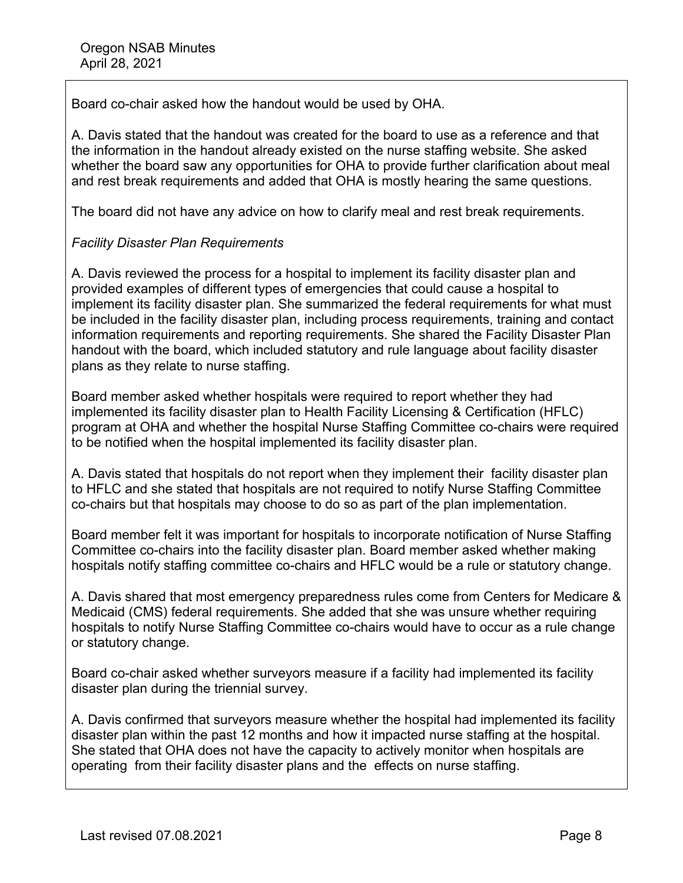Board co-chair asked how the handout would be used by OHA.

A. Davis stated that the handout was created for the board to use as a reference and that the information in the handout already existed on the nurse staffing website. She asked whether the board saw any opportunities for OHA to provide further clarification about meal and rest break requirements and added that OHA is mostly hearing the same questions.

The board did not have any advice on how to clarify meal and rest break requirements.

# *Facility Disaster Plan Requirements*

A. Davis reviewed the process for a hospital to implement its facility disaster plan and provided examples of different types of emergencies that could cause a hospital to implement its facility disaster plan. She summarized the federal requirements for what must be included in the facility disaster plan, including process requirements, training and contact information requirements and reporting requirements. She shared the Facility Disaster Plan handout with the board, which included statutory and rule language about facility disaster plans as they relate to nurse staffing.

Board member asked whether hospitals were required to report whether they had implemented its facility disaster plan to Health Facility Licensing & Certification (HFLC) program at OHA and whether the hospital Nurse Staffing Committee co-chairs were required to be notified when the hospital implemented its facility disaster plan.

A. Davis stated that hospitals do not report when they implement their facility disaster plan to HFLC and she stated that hospitals are not required to notify Nurse Staffing Committee co-chairs but that hospitals may choose to do so as part of the plan implementation.

Board member felt it was important for hospitals to incorporate notification of Nurse Staffing Committee co-chairs into the facility disaster plan. Board member asked whether making hospitals notify staffing committee co-chairs and HFLC would be a rule or statutory change.

A. Davis shared that most emergency preparedness rules come from Centers for Medicare & Medicaid (CMS) federal requirements. She added that she was unsure whether requiring hospitals to notify Nurse Staffing Committee co-chairs would have to occur as a rule change or statutory change.

Board co-chair asked whether surveyors measure if a facility had implemented its facility disaster plan during the triennial survey.

A. Davis confirmed that surveyors measure whether the hospital had implemented its facility disaster plan within the past 12 months and how it impacted nurse staffing at the hospital. She stated that OHA does not have the capacity to actively monitor when hospitals are operating from their facility disaster plans and the effects on nurse staffing.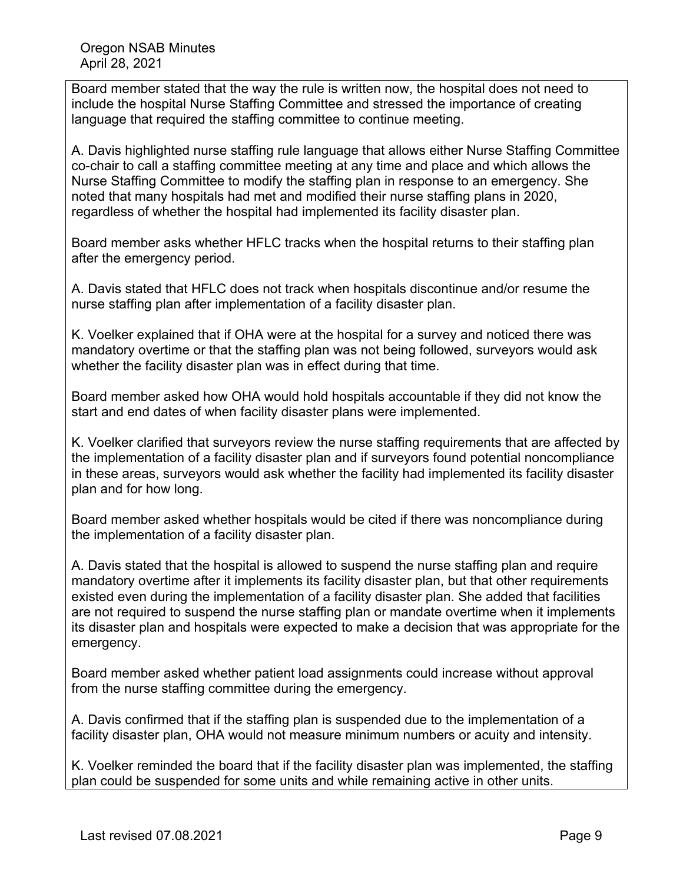Board member stated that the way the rule is written now, the hospital does not need to include the hospital Nurse Staffing Committee and stressed the importance of creating language that required the staffing committee to continue meeting.

A. Davis highlighted nurse staffing rule language that allows either Nurse Staffing Committee co-chair to call a staffing committee meeting at any time and place and which allows the Nurse Staffing Committee to modify the staffing plan in response to an emergency. She noted that many hospitals had met and modified their nurse staffing plans in 2020, regardless of whether the hospital had implemented its facility disaster plan.

Board member asks whether HFLC tracks when the hospital returns to their staffing plan after the emergency period.

A. Davis stated that HFLC does not track when hospitals discontinue and/or resume the nurse staffing plan after implementation of a facility disaster plan.

K. Voelker explained that if OHA were at the hospital for a survey and noticed there was mandatory overtime or that the staffing plan was not being followed, surveyors would ask whether the facility disaster plan was in effect during that time.

Board member asked how OHA would hold hospitals accountable if they did not know the start and end dates of when facility disaster plans were implemented.

K. Voelker clarified that surveyors review the nurse staffing requirements that are affected by the implementation of a facility disaster plan and if surveyors found potential noncompliance in these areas, surveyors would ask whether the facility had implemented its facility disaster plan and for how long.

Board member asked whether hospitals would be cited if there was noncompliance during the implementation of a facility disaster plan.

A. Davis stated that the hospital is allowed to suspend the nurse staffing plan and require mandatory overtime after it implements its facility disaster plan, but that other requirements existed even during the implementation of a facility disaster plan. She added that facilities are not required to suspend the nurse staffing plan or mandate overtime when it implements its disaster plan and hospitals were expected to make a decision that was appropriate for the emergency.

Board member asked whether patient load assignments could increase without approval from the nurse staffing committee during the emergency.

A. Davis confirmed that if the staffing plan is suspended due to the implementation of a facility disaster plan, OHA would not measure minimum numbers or acuity and intensity.

K. Voelker reminded the board that if the facility disaster plan was implemented, the staffing plan could be suspended for some units and while remaining active in other units.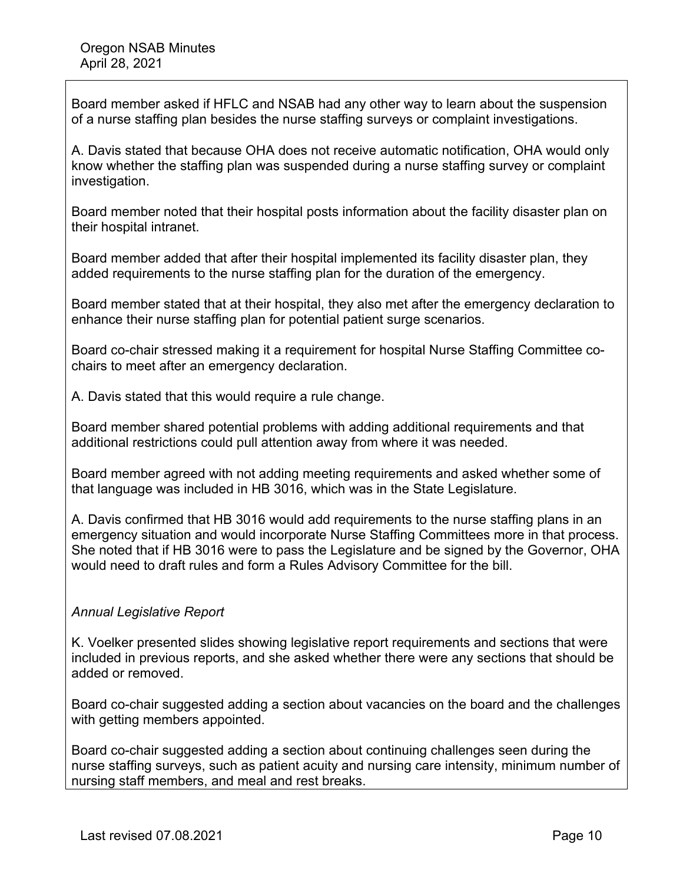Board member asked if HFLC and NSAB had any other way to learn about the suspension of a nurse staffing plan besides the nurse staffing surveys or complaint investigations.

A. Davis stated that because OHA does not receive automatic notification, OHA would only know whether the staffing plan was suspended during a nurse staffing survey or complaint investigation.

Board member noted that their hospital posts information about the facility disaster plan on their hospital intranet.

Board member added that after their hospital implemented its facility disaster plan, they added requirements to the nurse staffing plan for the duration of the emergency.

Board member stated that at their hospital, they also met after the emergency declaration to enhance their nurse staffing plan for potential patient surge scenarios.

Board co-chair stressed making it a requirement for hospital Nurse Staffing Committee cochairs to meet after an emergency declaration.

A. Davis stated that this would require a rule change.

Board member shared potential problems with adding additional requirements and that additional restrictions could pull attention away from where it was needed.

Board member agreed with not adding meeting requirements and asked whether some of that language was included in HB 3016, which was in the State Legislature.

A. Davis confirmed that HB 3016 would add requirements to the nurse staffing plans in an emergency situation and would incorporate Nurse Staffing Committees more in that process. She noted that if HB 3016 were to pass the Legislature and be signed by the Governor, OHA would need to draft rules and form a Rules Advisory Committee for the bill.

# *Annual Legislative Report*

K. Voelker presented slides showing legislative report requirements and sections that were included in previous reports, and she asked whether there were any sections that should be added or removed.

Board co-chair suggested adding a section about vacancies on the board and the challenges with getting members appointed.

Board co-chair suggested adding a section about continuing challenges seen during the nurse staffing surveys, such as patient acuity and nursing care intensity, minimum number of nursing staff members, and meal and rest breaks.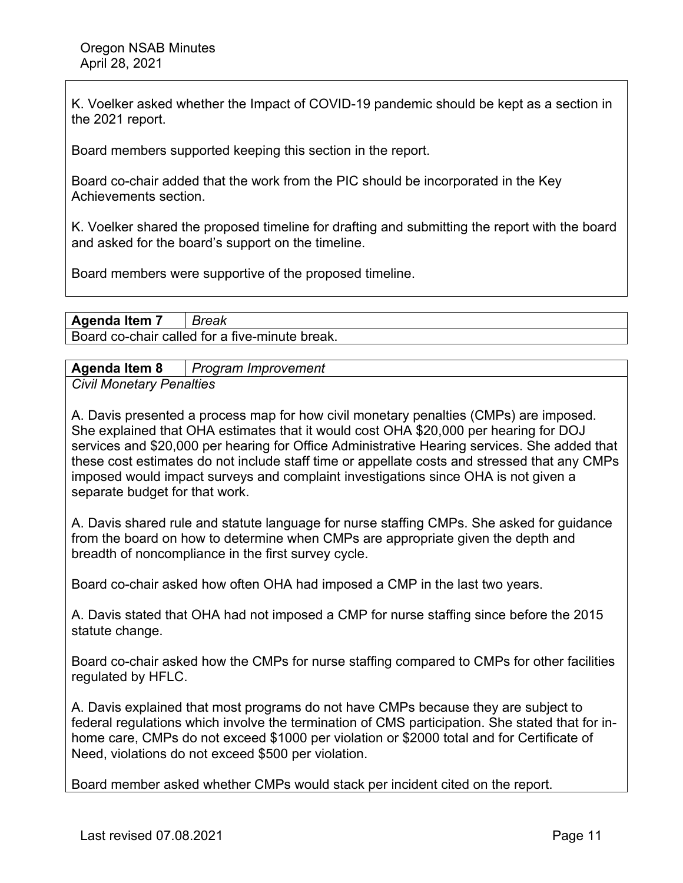K. Voelker asked whether the Impact of COVID-19 pandemic should be kept as a section in the 2021 report.

Board members supported keeping this section in the report.

Board co-chair added that the work from the PIC should be incorporated in the Key Achievements section.

K. Voelker shared the proposed timeline for drafting and submitting the report with the board and asked for the board's support on the timeline.

Board members were supportive of the proposed timeline.

**Agenda Item 7** *Break* 

Board co-chair called for a five-minute break.

**Agenda Item 8** *Program Improvement* 

*Civil Monetary Penalties* 

A. Davis presented a process map for how civil monetary penalties (CMPs) are imposed. She explained that OHA estimates that it would cost OHA \$20,000 per hearing for DOJ services and \$20,000 per hearing for Office Administrative Hearing services. She added that these cost estimates do not include staff time or appellate costs and stressed that any CMPs imposed would impact surveys and complaint investigations since OHA is not given a separate budget for that work.

A. Davis shared rule and statute language for nurse staffing CMPs. She asked for guidance from the board on how to determine when CMPs are appropriate given the depth and breadth of noncompliance in the first survey cycle.

Board co-chair asked how often OHA had imposed a CMP in the last two years.

A. Davis stated that OHA had not imposed a CMP for nurse staffing since before the 2015 statute change.

Board co-chair asked how the CMPs for nurse staffing compared to CMPs for other facilities regulated by HFLC.

A. Davis explained that most programs do not have CMPs because they are subject to federal regulations which involve the termination of CMS participation. She stated that for inhome care, CMPs do not exceed \$1000 per violation or \$2000 total and for Certificate of Need, violations do not exceed \$500 per violation.

Board member asked whether CMPs would stack per incident cited on the report.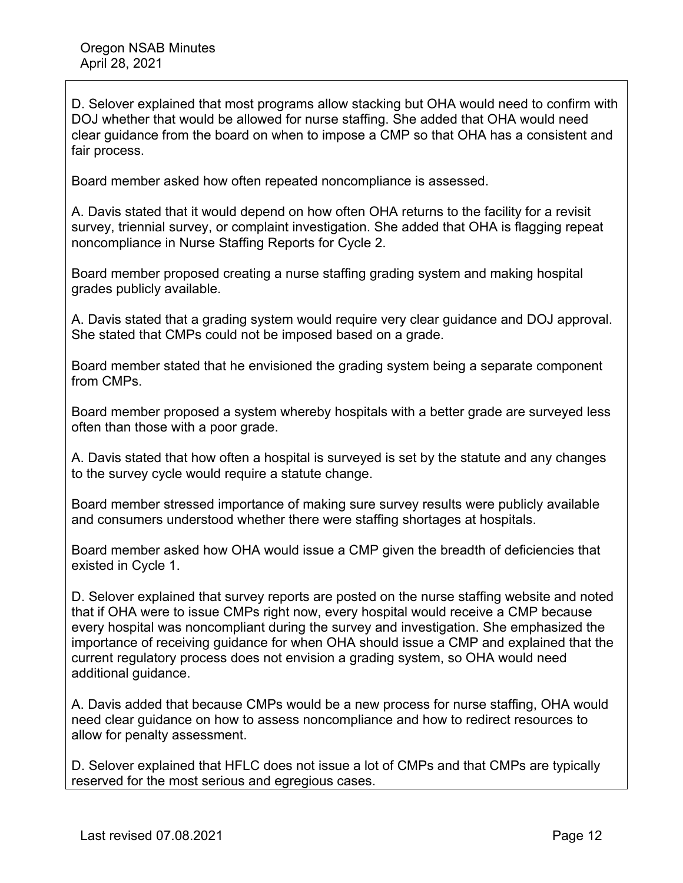D. Selover explained that most programs allow stacking but OHA would need to confirm with DOJ whether that would be allowed for nurse staffing. She added that OHA would need clear guidance from the board on when to impose a CMP so that OHA has a consistent and fair process.

Board member asked how often repeated noncompliance is assessed.

A. Davis stated that it would depend on how often OHA returns to the facility for a revisit survey, triennial survey, or complaint investigation. She added that OHA is flagging repeat noncompliance in Nurse Staffing Reports for Cycle 2.

Board member proposed creating a nurse staffing grading system and making hospital grades publicly available.

A. Davis stated that a grading system would require very clear guidance and DOJ approval. She stated that CMPs could not be imposed based on a grade.

Board member stated that he envisioned the grading system being a separate component from CMPs.

Board member proposed a system whereby hospitals with a better grade are surveyed less often than those with a poor grade.

A. Davis stated that how often a hospital is surveyed is set by the statute and any changes to the survey cycle would require a statute change.

Board member stressed importance of making sure survey results were publicly available and consumers understood whether there were staffing shortages at hospitals.

Board member asked how OHA would issue a CMP given the breadth of deficiencies that existed in Cycle 1.

D. Selover explained that survey reports are posted on the nurse staffing website and noted that if OHA were to issue CMPs right now, every hospital would receive a CMP because every hospital was noncompliant during the survey and investigation. She emphasized the importance of receiving guidance for when OHA should issue a CMP and explained that the current regulatory process does not envision a grading system, so OHA would need additional guidance.

A. Davis added that because CMPs would be a new process for nurse staffing, OHA would need clear guidance on how to assess noncompliance and how to redirect resources to allow for penalty assessment.

D. Selover explained that HFLC does not issue a lot of CMPs and that CMPs are typically reserved for the most serious and egregious cases.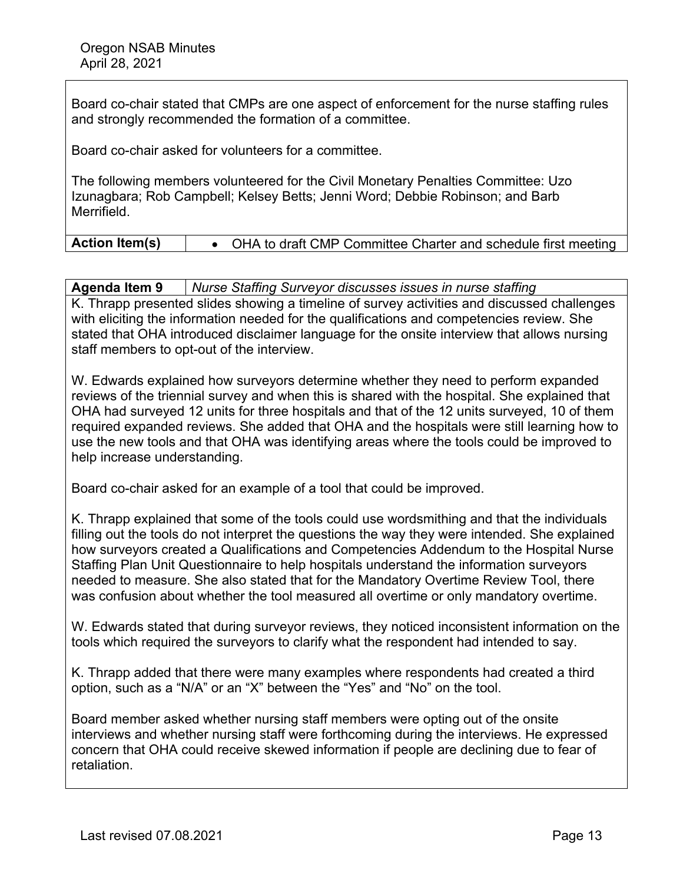Board co-chair stated that CMPs are one aspect of enforcement for the nurse staffing rules and strongly recommended the formation of a committee.

Board co-chair asked for volunteers for a committee.

The following members volunteered for the Civil Monetary Penalties Committee: Uzo Izunagbara; Rob Campbell; Kelsey Betts; Jenni Word; Debbie Robinson; and Barb Merrifield.

| <b>Action Item(s)</b> |  | <b>OHA to draft CMP Committee Charter and schedule first meeting</b> |
|-----------------------|--|----------------------------------------------------------------------|
|-----------------------|--|----------------------------------------------------------------------|

K. Thrapp presented slides showing a timeline of survey activities and discussed challenges with eliciting the information needed for the qualifications and competencies review. She stated that OHA introduced disclaimer language for the onsite interview that allows nursing staff members to opt-out of the interview.

W. Edwards explained how surveyors determine whether they need to perform expanded reviews of the triennial survey and when this is shared with the hospital. She explained that OHA had surveyed 12 units for three hospitals and that of the 12 units surveyed, 10 of them required expanded reviews. She added that OHA and the hospitals were still learning how to use the new tools and that OHA was identifying areas where the tools could be improved to help increase understanding.

Board co-chair asked for an example of a tool that could be improved.

K. Thrapp explained that some of the tools could use wordsmithing and that the individuals filling out the tools do not interpret the questions the way they were intended. She explained how surveyors created a Qualifications and Competencies Addendum to the Hospital Nurse Staffing Plan Unit Questionnaire to help hospitals understand the information surveyors needed to measure. She also stated that for the Mandatory Overtime Review Tool, there was confusion about whether the tool measured all overtime or only mandatory overtime.

W. Edwards stated that during surveyor reviews, they noticed inconsistent information on the tools which required the surveyors to clarify what the respondent had intended to say.

K. Thrapp added that there were many examples where respondents had created a third option, such as a "N/A" or an "X" between the "Yes" and "No" on the tool.

Board member asked whether nursing staff members were opting out of the onsite interviews and whether nursing staff were forthcoming during the interviews. He expressed concern that OHA could receive skewed information if people are declining due to fear of retaliation.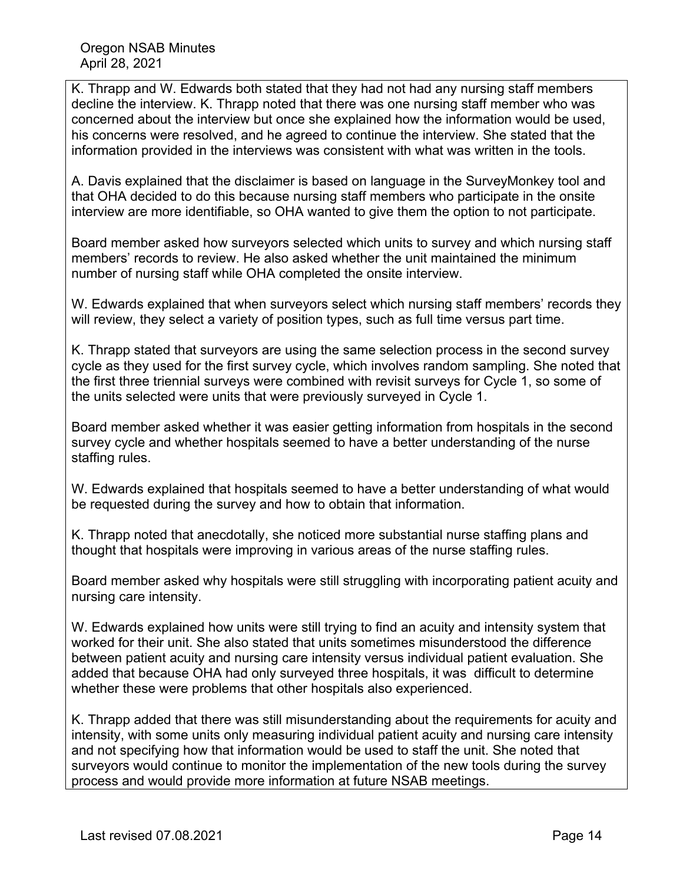K. Thrapp and W. Edwards both stated that they had not had any nursing staff members decline the interview. K. Thrapp noted that there was one nursing staff member who was concerned about the interview but once she explained how the information would be used, his concerns were resolved, and he agreed to continue the interview. She stated that the information provided in the interviews was consistent with what was written in the tools.

A. Davis explained that the disclaimer is based on language in the SurveyMonkey tool and that OHA decided to do this because nursing staff members who participate in the onsite interview are more identifiable, so OHA wanted to give them the option to not participate.

Board member asked how surveyors selected which units to survey and which nursing staff members' records to review. He also asked whether the unit maintained the minimum number of nursing staff while OHA completed the onsite interview.

W. Edwards explained that when surveyors select which nursing staff members' records they will review, they select a variety of position types, such as full time versus part time.

K. Thrapp stated that surveyors are using the same selection process in the second survey cycle as they used for the first survey cycle, which involves random sampling. She noted that the first three triennial surveys were combined with revisit surveys for Cycle 1, so some of the units selected were units that were previously surveyed in Cycle 1.

Board member asked whether it was easier getting information from hospitals in the second survey cycle and whether hospitals seemed to have a better understanding of the nurse staffing rules.

W. Edwards explained that hospitals seemed to have a better understanding of what would be requested during the survey and how to obtain that information.

K. Thrapp noted that anecdotally, she noticed more substantial nurse staffing plans and thought that hospitals were improving in various areas of the nurse staffing rules.

Board member asked why hospitals were still struggling with incorporating patient acuity and nursing care intensity.

W. Edwards explained how units were still trying to find an acuity and intensity system that worked for their unit. She also stated that units sometimes misunderstood the difference between patient acuity and nursing care intensity versus individual patient evaluation. She added that because OHA had only surveyed three hospitals, it was difficult to determine whether these were problems that other hospitals also experienced.

K. Thrapp added that there was still misunderstanding about the requirements for acuity and intensity, with some units only measuring individual patient acuity and nursing care intensity and not specifying how that information would be used to staff the unit. She noted that surveyors would continue to monitor the implementation of the new tools during the survey process and would provide more information at future NSAB meetings.